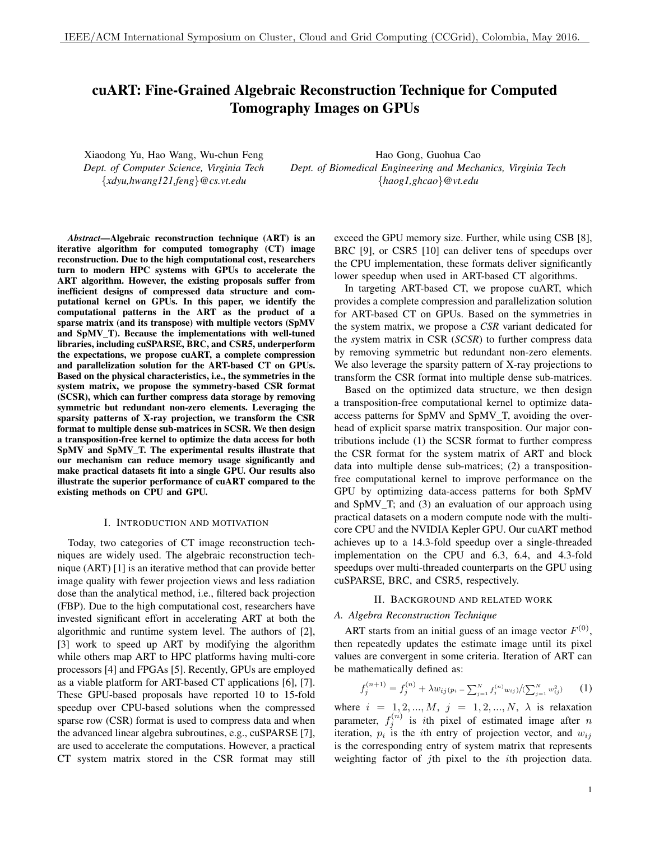# cuART: Fine-Grained Algebraic Reconstruction Technique for Computed Tomography Images on GPUs

Xiaodong Yu, Hao Wang, Wu-chun Feng *Dept. of Computer Science, Virginia Tech* {*xdyu,hwang121,feng*}*@cs.vt.edu*

Hao Gong, Guohua Cao *Dept. of Biomedical Engineering and Mechanics, Virginia Tech* {*haog1,ghcao*}*@vt.edu*

*Abstract*—Algebraic reconstruction technique (ART) is an iterative algorithm for computed tomography (CT) image reconstruction. Due to the high computational cost, researchers turn to modern HPC systems with GPUs to accelerate the ART algorithm. However, the existing proposals suffer from inefficient designs of compressed data structure and computational kernel on GPUs. In this paper, we identify the computational patterns in the ART as the product of a sparse matrix (and its transpose) with multiple vectors (SpMV and SpMV\_T). Because the implementations with well-tuned libraries, including cuSPARSE, BRC, and CSR5, underperform the expectations, we propose cuART, a complete compression and parallelization solution for the ART-based CT on GPUs. Based on the physical characteristics, i.e., the symmetries in the system matrix, we propose the symmetry-based CSR format (SCSR), which can further compress data storage by removing symmetric but redundant non-zero elements. Leveraging the sparsity patterns of X-ray projection, we transform the CSR format to multiple dense sub-matrices in SCSR. We then design a transposition-free kernel to optimize the data access for both SpMV and SpMV\_T. The experimental results illustrate that our mechanism can reduce memory usage significantly and make practical datasets fit into a single GPU. Our results also illustrate the superior performance of cuART compared to the existing methods on CPU and GPU.

## I. INTRODUCTION AND MOTIVATION

Today, two categories of CT image reconstruction techniques are widely used. The algebraic reconstruction technique (ART) [1] is an iterative method that can provide better image quality with fewer projection views and less radiation dose than the analytical method, i.e., filtered back projection (FBP). Due to the high computational cost, researchers have invested significant effort in accelerating ART at both the algorithmic and runtime system level. The authors of [2], [3] work to speed up ART by modifying the algorithm while others map ART to HPC platforms having multi-core processors [4] and FPGAs [5]. Recently, GPUs are employed as a viable platform for ART-based CT applications [6], [7]. These GPU-based proposals have reported 10 to 15-fold speedup over CPU-based solutions when the compressed sparse row (CSR) format is used to compress data and when the advanced linear algebra subroutines, e.g., cuSPARSE [7], are used to accelerate the computations. However, a practical CT system matrix stored in the CSR format may still exceed the GPU memory size. Further, while using CSB [8], BRC [9], or CSR5 [10] can deliver tens of speedups over the CPU implementation, these formats deliver significantly lower speedup when used in ART-based CT algorithms.

In targeting ART-based CT, we propose cuART, which provides a complete compression and parallelization solution for ART-based CT on GPUs. Based on the symmetries in the system matrix, we propose a *CSR* variant dedicated for the *s*ystem matrix in CSR (*SCSR*) to further compress data by removing symmetric but redundant non-zero elements. We also leverage the sparsity pattern of X-ray projections to transform the CSR format into multiple dense sub-matrices.

Based on the optimized data structure, we then design a transposition-free computational kernel to optimize dataaccess patterns for SpMV and SpMV\_T, avoiding the overhead of explicit sparse matrix transposition. Our major contributions include (1) the SCSR format to further compress the CSR format for the system matrix of ART and block data into multiple dense sub-matrices; (2) a transpositionfree computational kernel to improve performance on the GPU by optimizing data-access patterns for both SpMV and SpMV T; and (3) an evaluation of our approach using practical datasets on a modern compute node with the multicore CPU and the NVIDIA Kepler GPU. Our cuART method achieves up to a 14.3-fold speedup over a single-threaded implementation on the CPU and 6.3, 6.4, and 4.3-fold speedups over multi-threaded counterparts on the GPU using cuSPARSE, BRC, and CSR5, respectively.

## II. BACKGROUND AND RELATED WORK

## *A. Algebra Reconstruction Technique*

ART starts from an initial guess of an image vector  $F^{(0)}$ , then repeatedly updates the estimate image until its pixel values are convergent in some criteria. Iteration of ART can be mathematically defined as:

$$
f_j^{(n+1)} = f_j^{(n)} + \lambda w_{ij} (p_i - \sum_{j=1}^N f_j^{(n)} w_{ij}) / (\sum_{j=1}^N w_{ij}^2)
$$
 (1)

where  $i = 1, 2, ..., M$ ,  $j = 1, 2, ..., N$ ,  $\lambda$  is relaxation parameter,  $f_j^{(n)}$  is *i*th pixel of estimated image after *n* iteration,  $p_i$  is the *i*th entry of projection vector, and  $w_{ij}$ is the corresponding entry of system matrix that represents weighting factor of *j*th pixel to the *i*th projection data.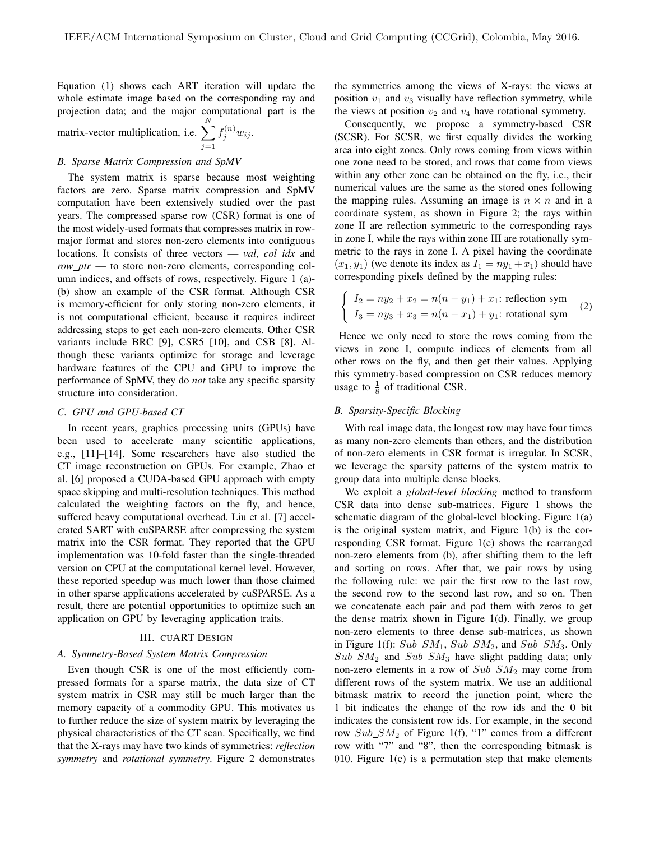Equation (1) shows each ART iteration will update the whole estimate image based on the corresponding ray and projection data; and the major computational part is the

matrix-vector multiplication, i.e. 
$$
\sum_{j=1}^{N} f_j^{(n)} w_{ij}.
$$

# *B. Sparse Matrix Compression and SpMV*

The system matrix is sparse because most weighting factors are zero. Sparse matrix compression and SpMV computation have been extensively studied over the past years. The compressed sparse row (CSR) format is one of the most widely-used formats that compresses matrix in rowmajor format and stores non-zero elements into contiguous locations. It consists of three vectors — *val*, *col idx* and *row\_ptr* — to store non-zero elements, corresponding column indices, and offsets of rows, respectively. Figure 1 (a)- (b) show an example of the CSR format. Although CSR is memory-efficient for only storing non-zero elements, it is not computational efficient, because it requires indirect addressing steps to get each non-zero elements. Other CSR variants include BRC [9], CSR5 [10], and CSB [8]. Although these variants optimize for storage and leverage hardware features of the CPU and GPU to improve the performance of SpMV, they do *not* take any specific sparsity structure into consideration.

# *C. GPU and GPU-based CT*

In recent years, graphics processing units (GPUs) have been used to accelerate many scientific applications, e.g., [11]–[14]. Some researchers have also studied the CT image reconstruction on GPUs. For example, Zhao et al. [6] proposed a CUDA-based GPU approach with empty space skipping and multi-resolution techniques. This method calculated the weighting factors on the fly, and hence, suffered heavy computational overhead. Liu et al. [7] accelerated SART with cuSPARSE after compressing the system matrix into the CSR format. They reported that the GPU implementation was 10-fold faster than the single-threaded version on CPU at the computational kernel level. However, these reported speedup was much lower than those claimed in other sparse applications accelerated by cuSPARSE. As a result, there are potential opportunities to optimize such an application on GPU by leveraging application traits.

# III. CUART DESIGN

# *A. Symmetry-Based System Matrix Compression*

Even though CSR is one of the most efficiently compressed formats for a sparse matrix, the data size of CT system matrix in CSR may still be much larger than the memory capacity of a commodity GPU. This motivates us to further reduce the size of system matrix by leveraging the physical characteristics of the CT scan. Specifically, we find that the X-rays may have two kinds of symmetries: *reflection symmetry* and *rotational symmetry*. Figure 2 demonstrates the symmetries among the views of X-rays: the views at position  $v_1$  and  $v_3$  visually have reflection symmetry, while the views at position  $v_2$  and  $v_4$  have rotational symmetry.

Consequently, we propose a symmetry-based CSR (SCSR). For SCSR, we first equally divides the working area into eight zones. Only rows coming from views within one zone need to be stored, and rows that come from views within any other zone can be obtained on the fly, i.e., their numerical values are the same as the stored ones following the mapping rules. Assuming an image is  $n \times n$  and in a coordinate system, as shown in Figure 2; the rays within zone II are reflection symmetric to the corresponding rays in zone I, while the rays within zone III are rotationally symmetric to the rays in zone I. A pixel having the coordinate  $(x_1, y_1)$  (we denote its index as  $I_1 = ny_1 + x_1$ ) should have corresponding pixels defined by the mapping rules:

$$
\begin{cases}\nI_2 = ny_2 + x_2 = n(n - y_1) + x_1: \text{reflection sym} \\
I_3 = ny_3 + x_3 = n(n - x_1) + y_1: \text{rotational sym}\n\end{cases}
$$
\n(2)

Hence we only need to store the rows coming from the views in zone I, compute indices of elements from all other rows on the fly, and then get their values. Applying this symmetry-based compression on CSR reduces memory usage to  $\frac{1}{8}$  of traditional CSR.

## *B. Sparsity-Specific Blocking*

With real image data, the longest row may have four times as many non-zero elements than others, and the distribution of non-zero elements in CSR format is irregular. In SCSR, we leverage the sparsity patterns of the system matrix to group data into multiple dense blocks.

We exploit a *global-level blocking* method to transform CSR data into dense sub-matrices. Figure 1 shows the schematic diagram of the global-level blocking. Figure 1(a) is the original system matrix, and Figure 1(b) is the corresponding CSR format. Figure 1(c) shows the rearranged non-zero elements from (b), after shifting them to the left and sorting on rows. After that, we pair rows by using the following rule: we pair the first row to the last row, the second row to the second last row, and so on. Then we concatenate each pair and pad them with zeros to get the dense matrix shown in Figure 1(d). Finally, we group non-zero elements to three dense sub-matrices, as shown in Figure 1(f):  $Sub\_SM_1$ ,  $Sub\_SM_2$ , and  $Sub\_SM_3$ . Only  $Sub\_SM_2$  and  $Sub\_SM_3$  have slight padding data; only non-zero elements in a row of  $Sub\_SM_2$  may come from different rows of the system matrix. We use an additional bitmask matrix to record the junction point, where the 1 bit indicates the change of the row ids and the 0 bit indicates the consistent row ids. For example, in the second row  $Sub\_SM_2$  of Figure 1(f), "1" comes from a different row with "7" and "8", then the corresponding bitmask is 010. Figure 1(e) is a permutation step that make elements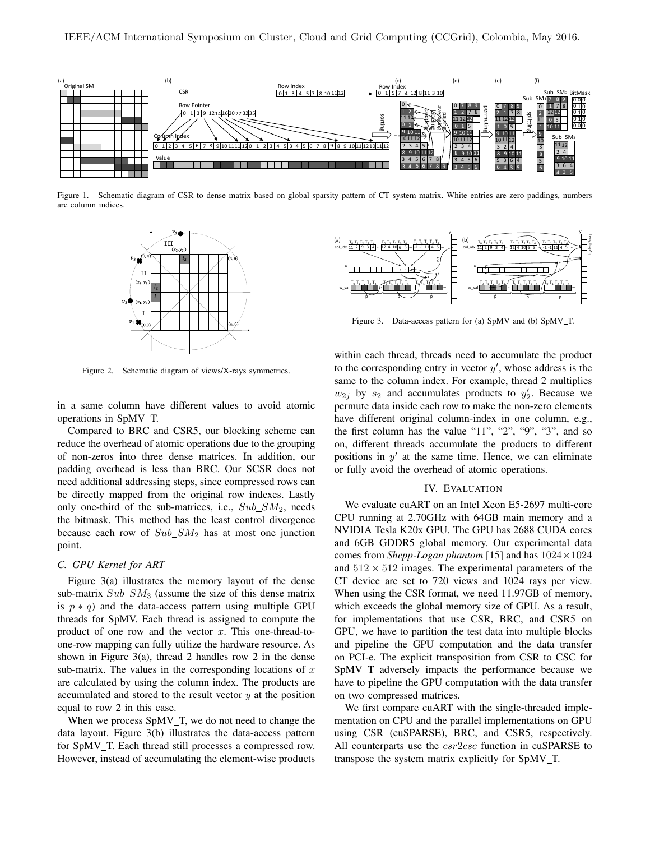

Figure 1. Schematic diagram of CSR to dense matrix based on global sparsity pattern of CT system matrix. White entries are zero paddings, numbers are column indices.



Figure 2. Schematic diagram of views/X-rays symmetries.

in a same column have different values to avoid atomic operations in SpMV\_T.

Compared to BRC and CSR5, our blocking scheme can reduce the overhead of atomic operations due to the grouping of non-zeros into three dense matrices. In addition, our padding overhead is less than BRC. Our SCSR does not need additional addressing steps, since compressed rows can be directly mapped from the original row indexes. Lastly only one-third of the sub-matrices, i.e.,  $Sub\_SM_2$ , needs the bitmask. This method has the least control divergence because each row of  $Sub\_SM_2$  has at most one junction point.

# *C. GPU Kernel for ART*

Figure 3(a) illustrates the memory layout of the dense sub-matrix  $Sub\_SM_3$  (assume the size of this dense matrix is  $p * q$ ) and the data-access pattern using multiple GPU threads for SpMV. Each thread is assigned to compute the product of one row and the vector  $x$ . This one-thread-toone-row mapping can fully utilize the hardware resource. As shown in Figure  $3(a)$ , thread 2 handles row 2 in the dense sub-matrix. The values in the corresponding locations of  $x$ are calculated by using the column index. The products are accumulated and stored to the result vector  $y$  at the position equal to row 2 in this case.

When we process SpMV T, we do not need to change the data layout. Figure 3(b) illustrates the data-access pattern for SpMV\_T. Each thread still processes a compressed row. However, instead of accumulating the element-wise products



Figure 3. Data-access pattern for (a) SpMV and (b) SpMV\_T.

within each thread, threads need to accumulate the product to the corresponding entry in vector  $y'$ , whose address is the same to the column index. For example, thread 2 multiplies  $w_{2j}$  by  $s_2$  and accumulates products to  $y'_2$ . Because we permute data inside each row to make the non-zero elements have different original column-index in one column, e.g., the first column has the value "11", "2", "9", "3", and so on, different threads accumulate the products to different positions in  $y'$  at the same time. Hence, we can eliminate or fully avoid the overhead of atomic operations.

# IV. EVALUATION

We evaluate cuART on an Intel Xeon E5-2697 multi-core CPU running at 2.70GHz with 64GB main memory and a NVIDIA Tesla K20x GPU. The GPU has 2688 CUDA cores and 6GB GDDR5 global memory. Our experimental data comes from *Shepp-Logan phantom* [15] and has 1024×1024 and  $512 \times 512$  images. The experimental parameters of the CT device are set to 720 views and 1024 rays per view. When using the CSR format, we need 11.97GB of memory, which exceeds the global memory size of GPU. As a result, for implementations that use CSR, BRC, and CSR5 on GPU, we have to partition the test data into multiple blocks and pipeline the GPU computation and the data transfer on PCI-e. The explicit transposition from CSR to CSC for SpMV\_T adversely impacts the performance because we have to pipeline the GPU computation with the data transfer on two compressed matrices.

We first compare cuART with the single-threaded implementation on CPU and the parallel implementations on GPU using CSR (cuSPARSE), BRC, and CSR5, respectively. All counterparts use the *csr2csc* function in cuSPARSE to transpose the system matrix explicitly for SpMV T.